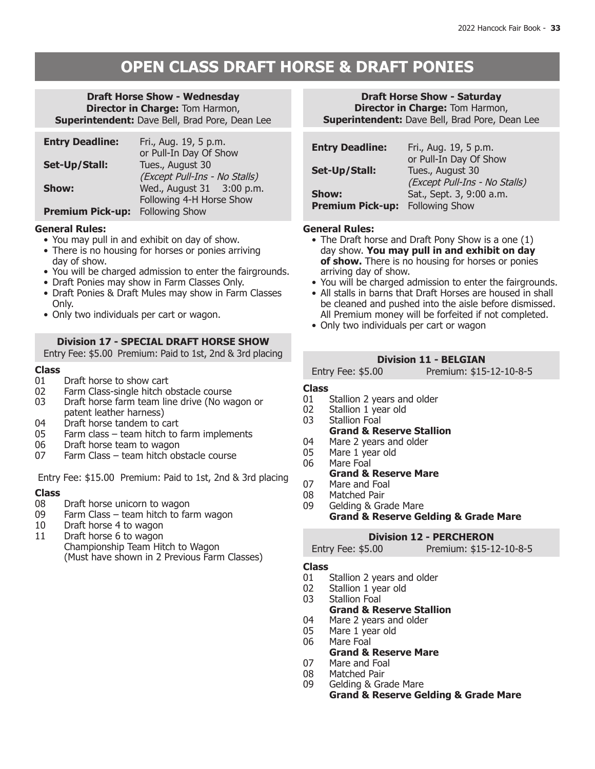## **OPEN CLASS DRAFT HORSE & DRAFT PONIES**

#### **Draft Horse Show - Wednesday Director in Charge:** Tom Harmon, **Superintendent:** Dave Bell, Brad Pore, Dean Lee

| <b>Entry Deadline:</b>  | Fri., Aug. 19, 5 p.m.         |
|-------------------------|-------------------------------|
|                         | or Pull-In Day Of Show        |
| Set-Up/Stall:           | Tues., August 30              |
|                         | (Except Pull-Ins - No Stalls) |
| <b>Show:</b>            | Wed., August 31 3:00 p.m.     |
|                         | Following 4-H Horse Show      |
| <b>Premium Pick-up:</b> | <b>Following Show</b>         |

### **General Rules:**

- • You may pull in and exhibit on day of show.
- There is no housing for horses or ponies arriving day of show.
- You will be charged admission to enter the fairgrounds.
- Draft Ponies may show in Farm Classes Only.
- Draft Ponies & Draft Mules may show in Farm Classes Only.
- Only two individuals per cart or wagon.

### **Division 17 - SPECIAL DRAFT HORSE SHOW**

Entry Fee: \$5.00 Premium: Paid to 1st, 2nd & 3rd placing

## **Class**

- 01 Draft horse to show cart<br>02 Farm Class-single hitch o
- 02 Farm Class-single hitch obstacle course<br>03 Draft horse farm team line drive (No wa
- Draft horse farm team line drive (No wagon or patent leather harness)
- 04 Draft horse tandem to cart<br>05 Farm class team hitch to
- 05 Farm class team hitch to farm implements<br>06 Draft horse team to wagon
- 06 Draft horse team to wagon<br>07 Farm Class team hitch ob
- Farm Class team hitch obstacle course

Entry Fee: \$15.00 Premium: Paid to 1st, 2nd & 3rd placing

# **Class**

- 08 Draft horse unicorn to wagon<br>09 Farm Class team hitch to fai
- 09 Farm Class team hitch to farm wagon<br>10 Draft horse 4 to wagon
- Draft horse 4 to wagon
- 11 Draft horse 6 to wagon
- Championship Team Hitch to Wagon (Must have shown in 2 Previous Farm Classes)

#### **Draft Horse Show - Saturday Director in Charge:** Tom Harmon, **Superintendent:** Dave Bell, Brad Pore, Dean Lee

| <b>Entry Deadline:</b>           | Fri., Aug. 19, 5 p.m.<br>or Pull-In Day Of Show   |
|----------------------------------|---------------------------------------------------|
| Set-Up/Stall:                    | Tues., August 30<br>(Except Pull-Ins - No Stalls) |
| Show:<br><b>Premium Pick-up:</b> | Sat., Sept. 3, 9:00 a.m.<br><b>Following Show</b> |

#### **General Rules:**

- The Draft horse and Draft Pony Show is a one (1) day show. **You may pull in and exhibit on day of show.** There is no housing for horses or ponies arriving day of show.
- You will be charged admission to enter the fairgrounds.
- All stalls in barns that Draft Horses are housed in shall be cleaned and pushed into the aisle before dismissed. All Premium money will be forfeited if not completed.
- Only two individuals per cart or wagon

### **Division 11 - BELGIAN**

Entry Fee: \$5.00 Premium: \$15-12-10-8-5

- **Class** 01 Stallion 2 years and older<br>02 Stallion 1 year old
- 02 Stallion 1 year old<br>03 Stallion Foal
- Stallion Foal

#### **Grand & Reserve Stallion**

- 04 Mare 2 years and older<br>05 Mare 1 year old
- 05 Mare 1 year old<br>06 Mare Foal
- Mare Foal

### **Grand & Reserve Mare**

- 07 Mare and Foal<br>08 Matched Pair
- 08 Matched Pair<br>09 Gelding & Gra
	- Gelding & Grade Mare **Grand & Reserve Gelding & Grade Mare**

### **Division 12 - PERCHERON**

| Entry Fee: \$5.00 | Premium: \$15-12-10-8-5 |
|-------------------|-------------------------|
|-------------------|-------------------------|

- **Class** 01 Stallion 2 years and older<br>02 Stallion 1 year old
- 02 Stallion 1 year old<br>03 Stallion Foal
- Stallion Foal
	- **Grand & Reserve Stallion**
- 04 Mare 2 years and older<br>05 Mare 1 year old
- 05 Mare 1 year old<br>06 Mare Foal Mare Foal
- **Grand & Reserve Mare**
- 07 Mare and Foal<br>08 Matched Pair
- 08 Matched Pair<br>09 Gelding & Gra
	- Gelding & Grade Mare **Grand & Reserve Gelding & Grade Mare**